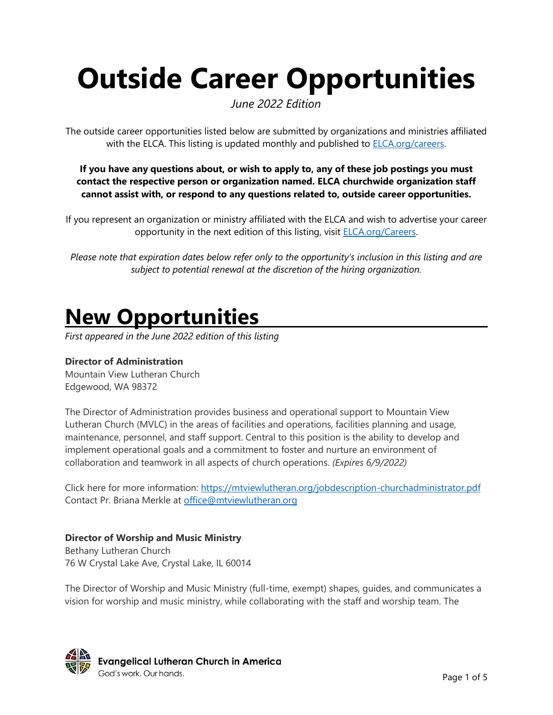# **Outside Career Opportunities**

*June 2022 Edition*

The outside career opportunities listed below are submitted by organizations and ministries affiliated with the ELCA. This listing is updated monthly and published to **ELCA.org/careers.** 

**If you have any questions about, or wish to apply to, any of these job postings you must contact the respective person or organization named. ELCA churchwide organization staff cannot assist with, or respond to any questions related to, outside career opportunities.**

If you represent an organization or ministry affiliated with the ELCA and wish to advertise your career opportunity in the next edition of this listing, visit **ELCA.org/Careers**.

*Please note that expiration dates below refer only to the opportunity's inclusion in this listing and are subject to potential renewal at the discretion of the hiring organization.*

### **New Opportunities**

*First appeared in the June 2022 edition of this listing*

#### **Director of Administration**

Mountain View Lutheran Church Edgewood, WA 98372

The Director of Administration provides business and operational support to Mountain View Lutheran Church (MVLC) in the areas of facilities and operations, facilities planning and usage, maintenance, personnel, and staff support. Central to this position is the ability to develop and implement operational goals and a commitment to foster and nurture an environment of collaboration and teamwork in all aspects of church operations. *(Expires 6/9/2022)*

Click here for more information:<https://mtviewlutheran.org/jobdescription-churchadministrator.pdf> Contact Pr. Briana Merkle at [office@mtviewlutheran.org](mailto:office@mtviewlutheran.org)

#### **Director of Worship and Music Ministry**

Bethany Lutheran Church 76 W Crystal Lake Ave, Crystal Lake, IL 60014

The Director of Worship and Music Ministry (full-time, exempt) shapes, guides, and communicates a vision for worship and music ministry, while collaborating with the staff and worship team. The

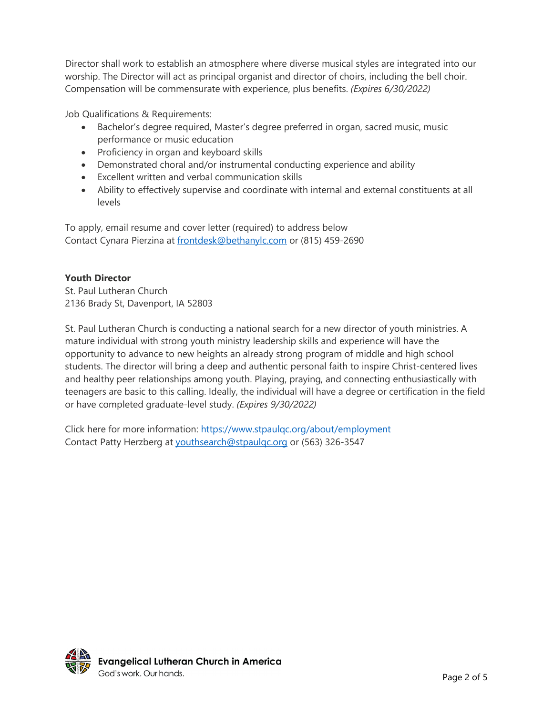Director shall work to establish an atmosphere where diverse musical styles are integrated into our worship. The Director will act as principal organist and director of choirs, including the bell choir. Compensation will be commensurate with experience, plus benefits. *(Expires 6/30/2022)*

Job Qualifications & Requirements:

- Bachelor's degree required, Master's degree preferred in organ, sacred music, music performance or music education
- Proficiency in organ and keyboard skills
- Demonstrated choral and/or instrumental conducting experience and ability
- Excellent written and verbal communication skills
- Ability to effectively supervise and coordinate with internal and external constituents at all levels

To apply, email resume and cover letter (required) to address below Contact Cynara Pierzina at [frontdesk@bethanylc.com](mailto:frontdesk@bethanylc.com) or (815) 459-2690

#### **Youth Director**

St. Paul Lutheran Church 2136 Brady St, Davenport, IA 52803

St. Paul Lutheran Church is conducting a national search for a new director of youth ministries. A mature individual with strong youth ministry leadership skills and experience will have the opportunity to advance to new heights an already strong program of middle and high school students. The director will bring a deep and authentic personal faith to inspire Christ-centered lives and healthy peer relationships among youth. Playing, praying, and connecting enthusiastically with teenagers are basic to this calling. Ideally, the individual will have a degree or certification in the field or have completed graduate-level study. *(Expires 9/30/2022)*

Click here for more information:<https://www.stpaulqc.org/about/employment> Contact Patty Herzberg at [youthsearch@stpaulqc.org](mailto:youthsearch@stpaulqc.org) or (563) 326-3547

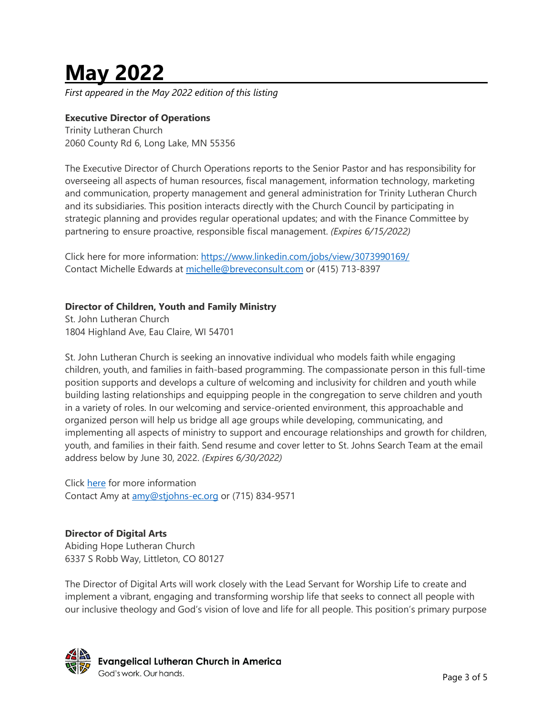## **May 2022**

*First appeared in the May 2022 edition of this listing*

#### **Executive Director of Operations**

Trinity Lutheran Church 2060 County Rd 6, Long Lake, MN 55356

The Executive Director of Church Operations reports to the Senior Pastor and has responsibility for overseeing all aspects of human resources, fiscal management, information technology, marketing and communication, property management and general administration for Trinity Lutheran Church and its subsidiaries. This position interacts directly with the Church Council by participating in strategic planning and provides regular operational updates; and with the Finance Committee by partnering to ensure proactive, responsible fiscal management. *(Expires 6/15/2022)*

Click here for more information:<https://www.linkedin.com/jobs/view/3073990169/> Contact Michelle Edwards at [michelle@breveconsult.com](mailto:michelle@breveconsult.com) or (415) 713-8397

#### **Director of Children, Youth and Family Ministry**

St. John Lutheran Church 1804 Highland Ave, Eau Claire, WI 54701

St. John Lutheran Church is seeking an innovative individual who models faith while engaging children, youth, and families in faith-based programming. The compassionate person in this full-time position supports and develops a culture of welcoming and inclusivity for children and youth while building lasting relationships and equipping people in the congregation to serve children and youth in a variety of roles. In our welcoming and service-oriented environment, this approachable and organized person will help us bridge all age groups while developing, communicating, and implementing all aspects of ministry to support and encourage relationships and growth for children, youth, and families in their faith. Send resume and cover letter to St. Johns Search Team at the email address below by June 30, 2022. *(Expires 6/30/2022)*

Click [here](https://stjohns-ec.org/documents/newsletters/job-description-cyf-position.pdf) for more information Contact Amy at [amy@stjohns-ec.org](mailto:amy@stjohns-ec.org) or (715) 834-9571

#### **Director of Digital Arts**

Abiding Hope Lutheran Church 6337 S Robb Way, Littleton, CO 80127

The Director of Digital Arts will work closely with the Lead Servant for Worship Life to create and implement a vibrant, engaging and transforming worship life that seeks to connect all people with our inclusive theology and God's vision of love and life for all people. This position's primary purpose

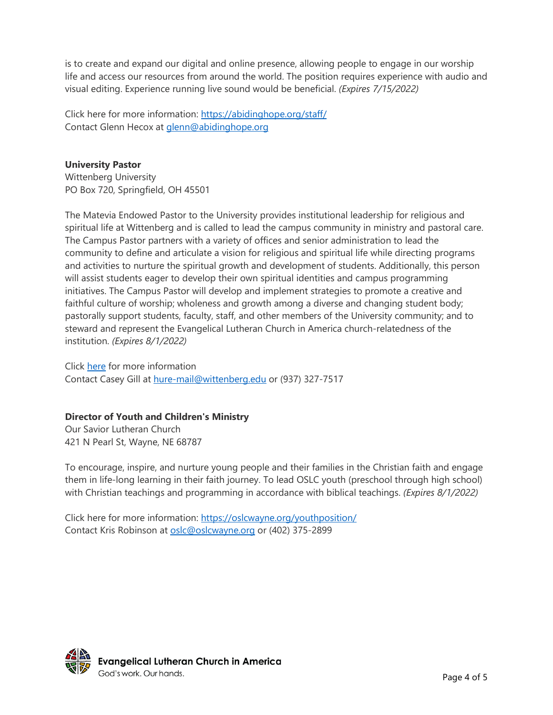is to create and expand our digital and online presence, allowing people to engage in our worship life and access our resources from around the world. The position requires experience with audio and visual editing. Experience running live sound would be beneficial. *(Expires 7/15/2022)*

Click here for more information:<https://abidinghope.org/staff/> Contact Glenn Hecox at [glenn@abidinghope.org](mailto:glenn@abidinghope.org)

#### **University Pastor**

Wittenberg University PO Box 720, Springfield, OH 45501

The Matevia Endowed Pastor to the University provides institutional leadership for religious and spiritual life at Wittenberg and is called to lead the campus community in ministry and pastoral care. The Campus Pastor partners with a variety of offices and senior administration to lead the community to define and articulate a vision for religious and spiritual life while directing programs and activities to nurture the spiritual growth and development of students. Additionally, this person will assist students eager to develop their own spiritual identities and campus programming initiatives. The Campus Pastor will develop and implement strategies to promote a creative and faithful culture of worship; wholeness and growth among a diverse and changing student body; pastorally support students, faculty, staff, and other members of the University community; and to steward and represent the Evangelical Lutheran Church in America church-relatedness of the institution. *(Expires 8/1/2022)*

Click [here](https://wittenberg.interviewexchange.com/jobofferdetails.jsp;jsessionid=697E29968BABE44329B2A16070718C0C?JOBID=147273) for more information Contact Casey Gill at [hure-mail@wittenberg.edu](mailto:hure-mail@wittenberg.edu) or (937) 327-7517

#### **Director of Youth and Children's Ministry**

Our Savior Lutheran Church 421 N Pearl St, Wayne, NE 68787

To encourage, inspire, and nurture young people and their families in the Christian faith and engage them in life-long learning in their faith journey. To lead OSLC youth (preschool through high school) with Christian teachings and programming in accordance with biblical teachings. *(Expires 8/1/2022)*

Click here for more information:<https://oslcwayne.org/youthposition/> Contact Kris Robinson at [oslc@oslcwayne.org](mailto:oslc@oslcwayne.org) or (402) 375-2899